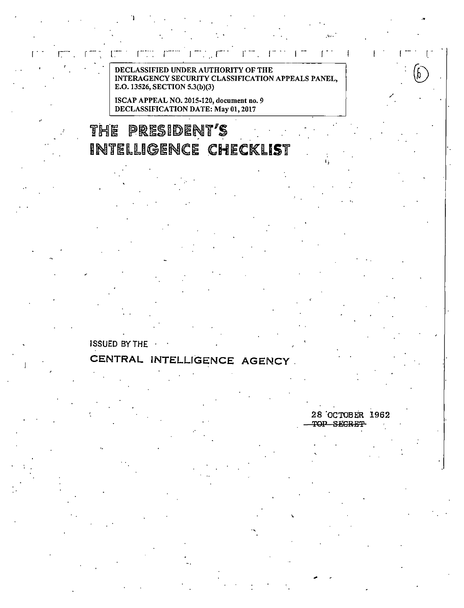ſ in L

DECLASSIFIED UNDER AUTHORITY OF THE INTERAGENCY SECURITY CLASSIFICATION APPEALS PANEL, E.O. 13526, SECTION 5.3(b)(3)

ISCAP APPEAL NO. 2015-120, document no. 9 DECLASSIFICATION DATE: May 01, 2017

## THE PRESIDENT'S INTELLIGENCE CHECKLIST

## **ISSUED BY THE**

## CENTRAL INTELLIGENCE AGENCY

28 OCTOBER 1962 TOP SECRET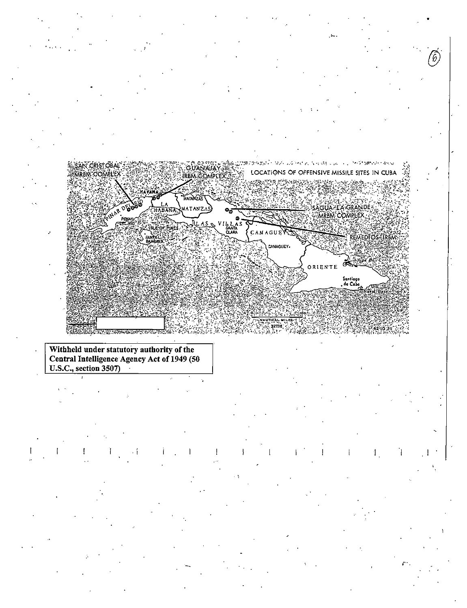

Withheld under statutory authority of the Central Intelligence Agency Act of 1949 (50 U.S.C., section  $3507$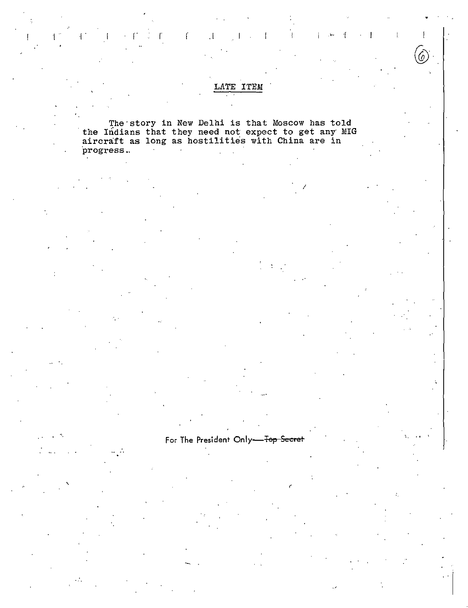### LATE ITEM

 $\frac{1}{2}$ 

 $\mathcal I$ 

 $\mathbf{L}$ 

 $\mathcal{F}$ 

The story in New Delhi is that Moscow has told<br>the Indians that they need not expect to get any MIG<br>aircraft as long as hostilities with China are in progress.  $\sim 100$  $\sim$ 

 $\mathcal{A}$ 

 $\label{eq:3.1} \mathbb{E} \left[ \mathbb{E} \left[ \mathbb{E} \left[ \mathbb{E} \left[ \mathbb{E} \left[ \mathbb{E} \left[ \mathbb{E} \left[ \mathbb{E} \left[ \mathbb{E} \left[ \mathbb{E} \left[ \mathbb{E} \left[ \mathbb{E} \left[ \mathbb{E} \left[ \mathbb{E} \left[ \mathbb{E} \left[ \mathbb{E} \left[ \mathbb{E} \left[ \mathbb{E} \left[ \mathbb{E} \left[ \mathbb{E} \left[ \mathbb{E} \left[ \mathbb{E} \left[ \mathbb{E} \left[ \mathbb{$ 

Ť

# For The President Only-Fop Secret

Å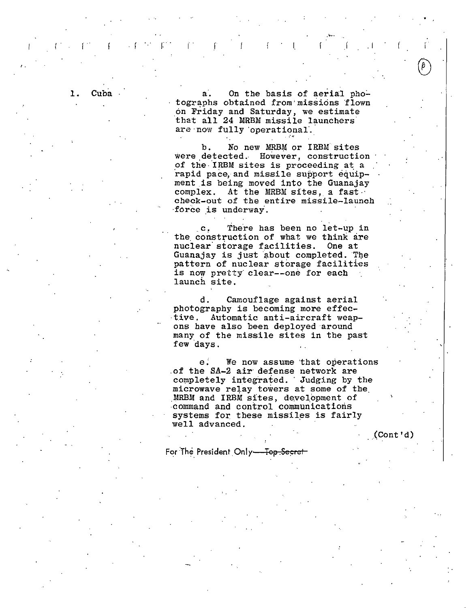1. Cuba a. On the basis of aerial photographs obtained from· missions 'flown .on Friday and Saturday, we estimate that all 24 MRBM missile launchers· are now fully operational.

(ii. ). For a set of the field of the set of the set of the set of the set of the set of the set of the set of the set of the set of the set of the set of the set of the set of the set of the set of the set of the set of

·""·

b. No new MRBM or IRBM sites<br>were detected. However, construction However, construction of the· IRBM sites is proceeding at a rapid pace, and missile support equipment is being moved into the Guanajay<br>complex. At the MRBM sites, a fast At the MRBM sites, a fast  $\cdot$ check-out of the entire missile-launch force is underway.

c. There has been no let-up in the construction of what we think are<br>nuclear storage facilities. One at nuclear storage facilities. Guanajay is just about completed. The pattern of nuclear storage facilities is now pretty clear--one for each launch site.

d. Camouflage against aerial photography is becoming more effective. Automatic anti-aircraft weapons have also been deployed around many of the missile sites in the past few days.

e; We now assume 'that operations of the SA-2 air defense network are completely integrated. Judging by the microwave relay towers at some of the MRBM and IRBM sites, development of .command and control communications systems for these missiles is fairly well advanced.

(Cont'd)

For The President Only-Tep Secret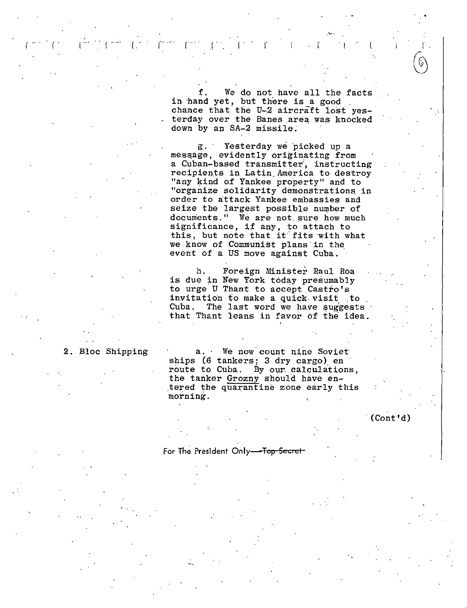We do not have all the facts in hand yet, but there is a good . chance that the  $U-2$  aircraft lost yesterday over the Banes area was knocked down by an SA-2 missile;

l .. r ·· ·· r ·· *r* . I r .r · . r

g\_. Yesterday we 'picked up a mes5age, evidently originating from a Cuban-based transmitter', instructing recipients in Latin America to destroy "any kind of Yankee property" and to "organize solidarity demonstrations. in order to attack Yankee embassies and seize the largest possible number of documents." We are not. sure how much significance, if any, to attach to this, but note that it fits with what we know of Communist plans· in the event of a US move against Cuba.

h. Foreign Minister Raul Roa is due in New York today presumably to urge U Thant to accept Castro's<br>invitation to make a quick visit to Cuba. The last word we have suggests<br>that Thant leans in favor of the idea.

### 2. Bloc Shipping a. · We now count nine Soviet

ships (6 tankers; 3 dry cargo) en route to Cuba. By our calculations, the tanker Grozny should have en tered the quarantine zone early this morning.

 $(Cont'd)$ 

For The President Only-Top Secret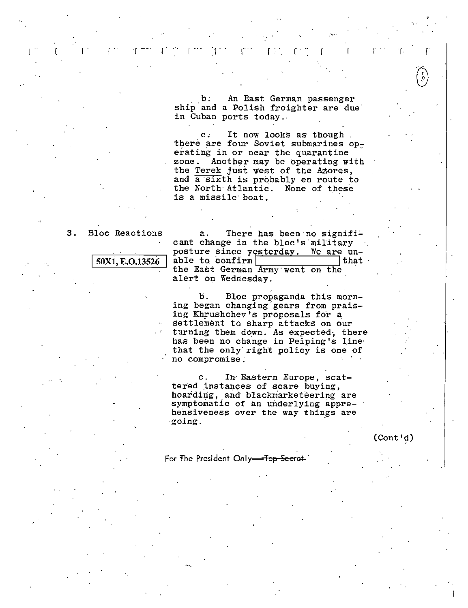An East German passenger  $\mathbf{b}$ . ship and a Polish freighter are due in Cuban ports today.

 $\mathbf{c}$ . It now looks as though. there are four Soviet submarines operating in or near the quarantine zone. Another may be operating with the Terek just west of the Azores, and a sixth is probably en route to the North Atlantic. None of these is a missile boat.

 $3.$ **Bloc Reactions** 

50X1, E.O.13526

There has been no signifi $a<sub>1</sub>$ cant change in the bloc's military posture since yesterday. We are unable to confirm that the East German Army went on the alert on Wednesday.

b. Bloc propaganda this morning began changing gears from praising Khrushchev's proposals for a settlement to sharp attacks on our turning them down. As expected, there has been no change in Peiping's line that the only right policy is one of no compromise.

In Eastern Europe, scat- $\mathbf{c}$ . tered instances of scare buying, hoarding, and blackmarketeering are symptomatic of an underlying apprehensiveness over the way things are going.

 $\text{Cont } \text{Id}$ 

For The President Only-Top Secret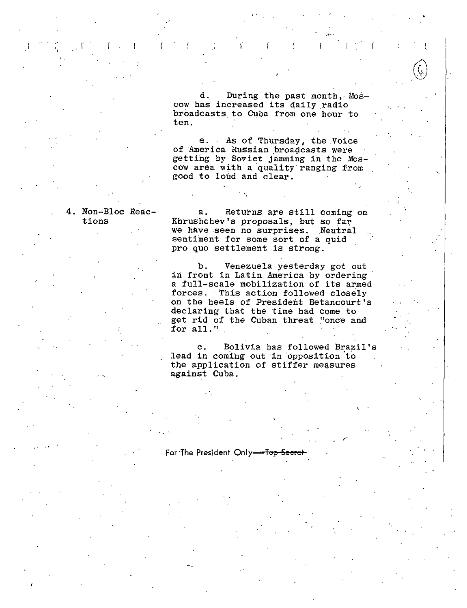d. During the past month, Mos d. During the past month, l<br>cow has increased its daily radio broadcasts. to Cuba from one hour to ten.

e. As of Thursday, the Voice of America Russian broadcasts were getting by Soviet jamming in the Mos cow area with a quality ranging from good to loud and clear.

### 4, Non-Bloc Reactions

'

 $\mathfrak{r}_i$  ,  $\mathfrak{r}_i$  ,  $\mathfrak{r}_i$  ,  $\mathfrak{r}_i$  ,  $\mathfrak{r}_i$  ,  $\mathfrak{r}_i$  ,  $\mathfrak{r}_i$  ,  $\mathfrak{r}_i$  ,  $\mathfrak{r}_i$  ,  $\mathfrak{r}_i$  ,  $\mathfrak{r}_i$ 

a. Returns are still coming on Khrushchev's proposals, but so far we have seen no surprises. Neutral sentiment for some sort of a quid pro quo settlement is strong.

b. Venezuela yesterday got out in front in Latin America by ordering a full-scale mobilization of its armed forces. · This action followed closely on the heels of President Betancourt's declaring that the time had come to get rid of the Cuban threat "once and for all."

c. Bolivia has followed Brazil's lead in coming out in opposition to the application of stiffer measures against Cuba.

 $\mathcal{C}(\mathcal{C})$ 

For The President Only<del> Top Secre</del>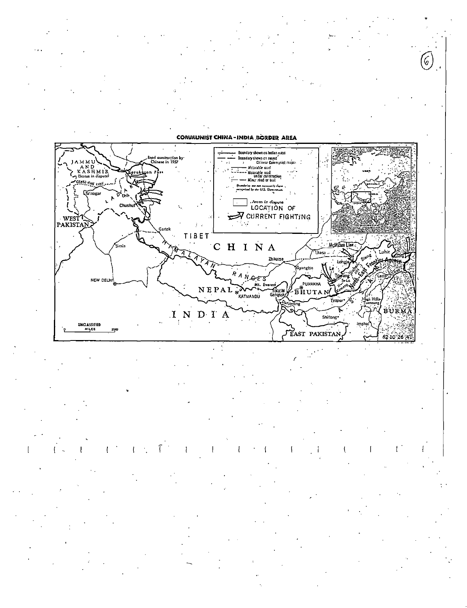6,



1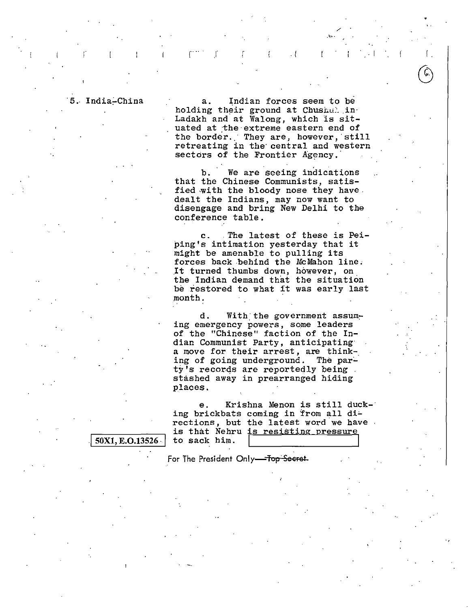50X1, E.O.13526

I

5. India-China a. Indian forces seem to be holding their ground at Chushu? in Ladakh and at Walong, which is situated at the extreme eastern end of the border. They are, however, still retreating in the central and western sectors of the Frontier Agency.

/

r ar i  $\mathbf{r}$  . The intervals of the intervals of  $\mathbf{r}$  . The intervals of  $\mathbf{r}$ 

b. We are seeing indications that the Chinese Communists, satisfied with the bloody nose they have. dealt the Indians, may now want to disengage and bring New Delhi to the conference table.

c. The latest of these is Peiping's intimation yesterday that it might be amenable to pulling its forces back behind the McMahon line. .It turned thumbs down, however, on the Indian demand that the situation be restored to what it was early last month.

d. With the government assuming emergency powers, some leaders of the "Chinese" faction of the Indian Communist Party, anticipating· a move for their arrest, are think-. ing of going underground. The party's records are reportedly being stashed away in prearranged hiding places.

e. Krishna Menon is still ducking brickbats coming in from all directions, but the latest word we have is that Nehru is resisting pressure to sack him.

.,

For The President Only-Top Secret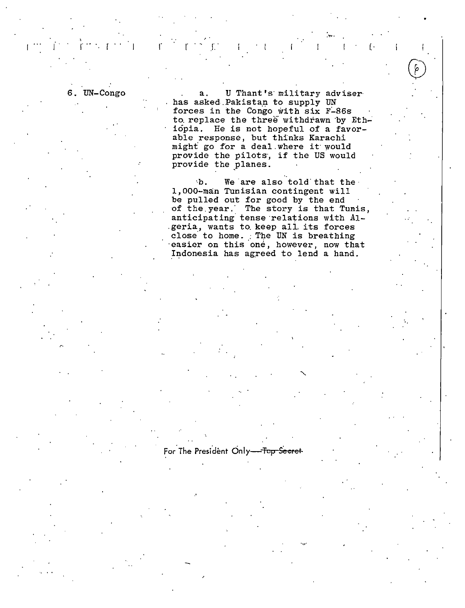6. UN-Congo a. U Thant's military adviser has asked.Pakistan to supply UN forces in the Congo with six F-86s to replace the three withdrawn by Ethiopia. He is not hopeful of a favorable response, but thinks Karachi might' go for a deal.where it· would provide the pilots, if the US would provide the planes.

. The contract of the contract of the contract of the contract of the contract of the contract of the contract of the contract of the contract of the contract of the contract of the contract of the contract of the contrac

In the function of the function of the function of the function of the function of the function of the function of the function of the function of the function of the function of the function of the function of the functi

b. We are also told that the 1,000-man Tunisian contingent will be pulled out for good by the end of the year. The story is that Tunis, anticipating tense relations with Al-.geria, wants to. keep all. its forces close to home. The UN is breathing ·easier on this 'one, however, now that Indonesia has agreed to lend a hand.

For The President Only-Top Secret

..,...